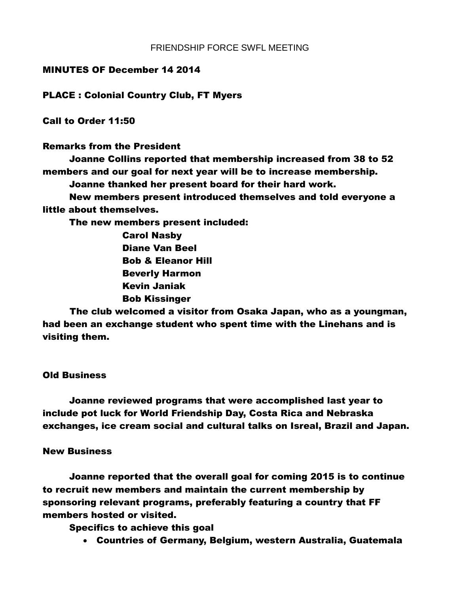## MINUTES OF December 14 2014

PLACE : Colonial Country Club, FT Myers

Call to Order 11:50

Remarks from the President

Joanne Collins reported that membership increased from 38 to 52 members and our goal for next year will be to increase membership. Joanne thanked her present board for their hard work.

New members present introduced themselves and told everyone a little about themselves.

The new members present included:

Carol Nasby Diane Van Beel Bob & Eleanor Hill Beverly Harmon Kevin Janiak Bob Kissinger

The club welcomed a visitor from Osaka Japan, who as a youngman, had been an exchange student who spent time with the Linehans and is visiting them.

## Old Business

Joanne reviewed programs that were accomplished last year to include pot luck for World Friendship Day, Costa Rica and Nebraska exchanges, ice cream social and cultural talks on Isreal, Brazil and Japan.

## New Business

Joanne reported that the overall goal for coming 2015 is to continue to recruit new members and maintain the current membership by sponsoring relevant programs, preferably featuring a country that FF members hosted or visited.

Specifics to achieve this goal

Countries of Germany, Belgium, western Australia, Guatemala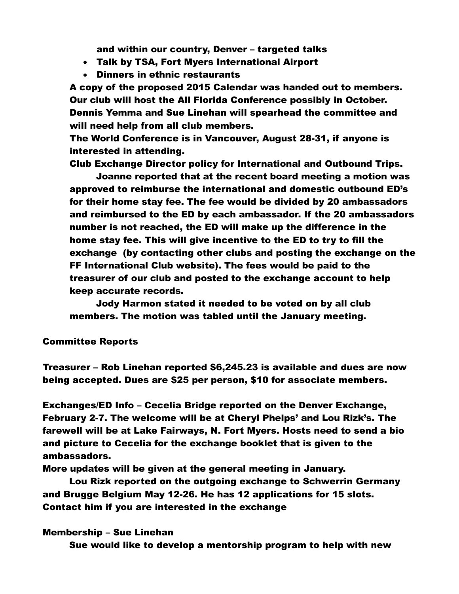and within our country, Denver – targeted talks

- Talk by TSA, Fort Myers International Airport
- Dinners in ethnic restaurants

A copy of the proposed 2015 Calendar was handed out to members. Our club will host the All Florida Conference possibly in October. Dennis Yemma and Sue Linehan will spearhead the committee and will need help from all club members.

The World Conference is in Vancouver, August 28-31, if anyone is interested in attending.

Club Exchange Director policy for International and Outbound Trips.

Joanne reported that at the recent board meeting a motion was approved to reimburse the international and domestic outbound ED's for their home stay fee. The fee would be divided by 20 ambassadors and reimbursed to the ED by each ambassador. If the 20 ambassadors number is not reached, the ED will make up the difference in the home stay fee. This will give incentive to the ED to try to fill the exchange (by contacting other clubs and posting the exchange on the FF International Club website). The fees would be paid to the treasurer of our club and posted to the exchange account to help keep accurate records.

Jody Harmon stated it needed to be voted on by all club members. The motion was tabled until the January meeting.

### Committee Reports

Treasurer – Rob Linehan reported \$6,245.23 is available and dues are now being accepted. Dues are \$25 per person, \$10 for associate members.

Exchanges/ED Info – Cecelia Bridge reported on the Denver Exchange, February 2-7. The welcome will be at Cheryl Phelps' and Lou Rizk's. The farewell will be at Lake Fairways, N. Fort Myers. Hosts need to send a bio and picture to Cecelia for the exchange booklet that is given to the ambassadors.

More updates will be given at the general meeting in January.

Lou Rizk reported on the outgoing exchange to Schwerrin Germany and Brugge Belgium May 12-26. He has 12 applications for 15 slots. Contact him if you are interested in the exchange

### Membership – Sue Linehan

Sue would like to develop a mentorship program to help with new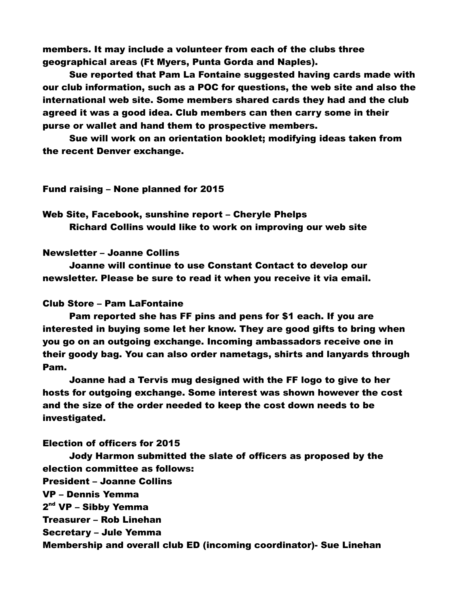members. It may include a volunteer from each of the clubs three geographical areas (Ft Myers, Punta Gorda and Naples).

Sue reported that Pam La Fontaine suggested having cards made with our club information, such as a POC for questions, the web site and also the international web site. Some members shared cards they had and the club agreed it was a good idea. Club members can then carry some in their purse or wallet and hand them to prospective members.

Sue will work on an orientation booklet; modifying ideas taken from the recent Denver exchange.

## Fund raising – None planned for 2015

Web Site, Facebook, sunshine report – Cheryle Phelps Richard Collins would like to work on improving our web site

## Newsletter – Joanne Collins

Joanne will continue to use Constant Contact to develop our newsletter. Please be sure to read it when you receive it via email.

### Club Store – Pam LaFontaine

Pam reported she has FF pins and pens for \$1 each. If you are interested in buying some let her know. They are good gifts to bring when you go on an outgoing exchange. Incoming ambassadors receive one in their goody bag. You can also order nametags, shirts and lanyards through Pam.

Joanne had a Tervis mug designed with the FF logo to give to her hosts for outgoing exchange. Some interest was shown however the cost and the size of the order needed to keep the cost down needs to be investigated.

### Election of officers for 2015

Jody Harmon submitted the slate of officers as proposed by the election committee as follows: President – Joanne Collins VP – Dennis Yemma 2<sup>nd</sup> VP – Sibby Yemma Treasurer – Rob Linehan Secretary – Jule Yemma Membership and overall club ED (incoming coordinator)- Sue Linehan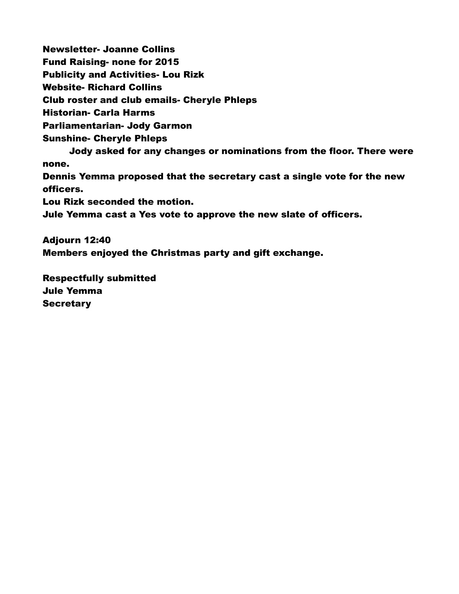Newsletter- Joanne Collins Fund Raising- none for 2015 Publicity and Activities- Lou Rizk Website- Richard Collins Club roster and club emails- Cheryle Phleps Historian- Carla Harms Parliamentarian- Jody Garmon Sunshine- Cheryle Phleps Jody asked for any changes or nominations from the floor. There were none. Dennis Yemma proposed that the secretary cast a single vote for the new officers. Lou Rizk seconded the motion. Jule Yemma cast a Yes vote to approve the new slate of officers. Adjourn 12:40

Members enjoyed the Christmas party and gift exchange.

Respectfully submitted Jule Yemma **Secretary**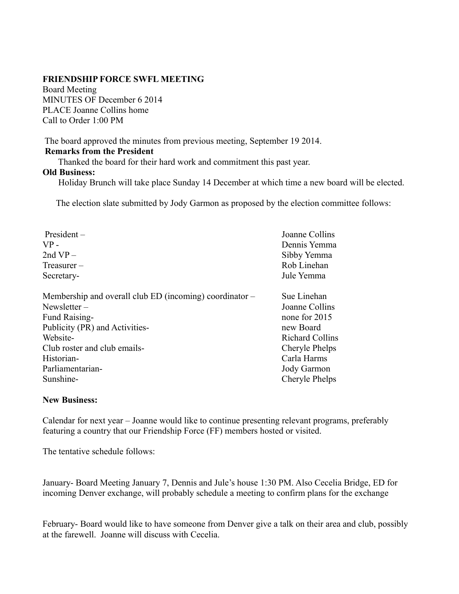Board Meeting MINUTES OF December 6 2014 PLACE Joanne Collins home Call to Order 1:00 PM

The board approved the minutes from previous meeting, September 19 2014.

## **Remarks from the President**

Thanked the board for their hard work and commitment this past year.

## **Old Business:**

Holiday Brunch will take place Sunday 14 December at which time a new board will be elected.

The election slate submitted by Jody Garmon as proposed by the election committee follows:

| $President -$                                             | Joanne Collins         |
|-----------------------------------------------------------|------------------------|
| $VP -$                                                    | Dennis Yemma           |
| 2nd $VP -$                                                | Sibby Yemma            |
| $T$ reasurer $-$                                          | Rob Linehan            |
| Secretary-                                                | Jule Yemma             |
| Membership and overall club ED (incoming) coordinator $-$ | Sue Linehan            |
| Newsletter $-$                                            | Joanne Collins         |
| Fund Raising-                                             | none for 2015          |
| Publicity (PR) and Activities-                            | new Board              |
| Website-                                                  | <b>Richard Collins</b> |
| Club roster and club emails-                              | Cheryle Phelps         |
| Historian-                                                | Carla Harms            |
| Parliamentarian-                                          | Jody Garmon            |
| Sunshine-                                                 | Cheryle Phelps         |

# **New Business:**

Calendar for next year – Joanne would like to continue presenting relevant programs, preferably featuring a country that our Friendship Force (FF) members hosted or visited.

The tentative schedule follows:

January- Board Meeting January 7, Dennis and Jule's house 1:30 PM. Also Cecelia Bridge, ED for incoming Denver exchange, will probably schedule a meeting to confirm plans for the exchange

February- Board would like to have someone from Denver give a talk on their area and club, possibly at the farewell. Joanne will discuss with Cecelia.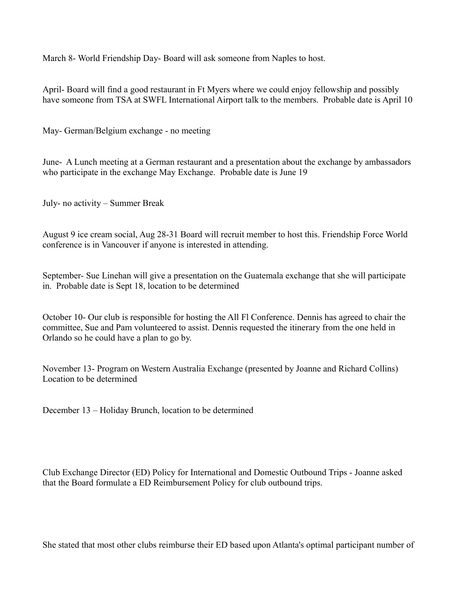March 8- World Friendship Day- Board will ask someone from Naples to host.

April- Board will find a good restaurant in Ft Myers where we could enjoy fellowship and possibly have someone from TSA at SWFL International Airport talk to the members. Probable date is April 10

May- German/Belgium exchange - no meeting

June- A Lunch meeting at a German restaurant and a presentation about the exchange by ambassadors who participate in the exchange May Exchange. Probable date is June 19

July- no activity – Summer Break

August 9 ice cream social, Aug 28-31 Board will recruit member to host this. Friendship Force World conference is in Vancouver if anyone is interested in attending.

September- Sue Linehan will give a presentation on the Guatemala exchange that she will participate in. Probable date is Sept 18, location to be determined

October 10- Our club is responsible for hosting the All Fl Conference. Dennis has agreed to chair the committee, Sue and Pam volunteered to assist. Dennis requested the itinerary from the one held in Orlando so he could have a plan to go by.

November 13- Program on Western Australia Exchange (presented by Joanne and Richard Collins) Location to be determined

December 13 – Holiday Brunch, location to be determined

Club Exchange Director (ED) Policy for International and Domestic Outbound Trips - Joanne asked that the Board formulate a ED Reimbursement Policy for club outbound trips.

She stated that most other clubs reimburse their ED based upon Atlanta's optimal participant number of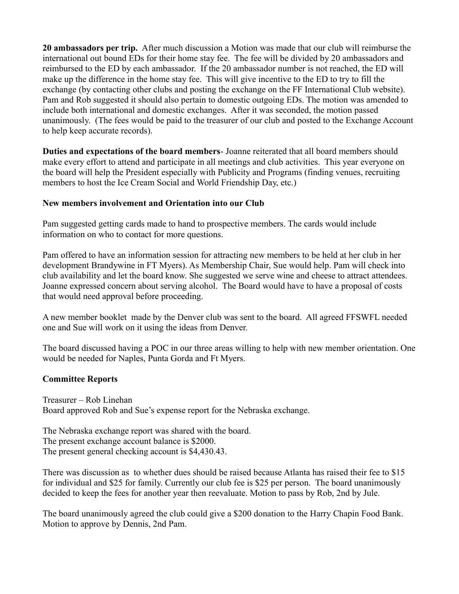**20 ambassadors per trip.** After much discussion a Motion was made that our club will reimburse the international out bound EDs for their home stay fee. The fee will be divided by 20 ambassadors and reimbursed to the ED by each ambassador. If the 20 ambassador number is not reached, the ED will make up the difference in the home stay fee. This will give incentive to the ED to try to fill the exchange (by contacting other clubs and posting the exchange on the FF International Club website). Pam and Rob suggested it should also pertain to domestic outgoing EDs. The motion was amended to include both international and domestic exchanges. After it was seconded, the motion passed unanimously. (The fees would be paid to the treasurer of our club and posted to the Exchange Account to help keep accurate records).

**Duties and expectations of the board members**- Joanne reiterated that all board members should make every effort to attend and participate in all meetings and club activities. This year everyone on the board will help the President especially with Publicity and Programs (finding venues, recruiting members to host the Ice Cream Social and World Friendship Day, etc.)

## **New members involvement and Orientation into our Club**

Pam suggested getting cards made to hand to prospective members. The cards would include information on who to contact for more questions.

Pam offered to have an information session for attracting new members to be held at her club in her development Brandywine in FT Myers). As Membership Chair, Sue would help. Pam will check into club availability and let the board know. She suggested we serve wine and cheese to attract attendees. Joanne expressed concern about serving alcohol. The Board would have to have a proposal of costs that would need approval before proceeding.

A new member booklet made by the Denver club was sent to the board. All agreed FFSWFL needed one and Sue will work on it using the ideas from Denver.

The board discussed having a POC in our three areas willing to help with new member orientation. One would be needed for Naples, Punta Gorda and Ft Myers.

## **Committee Reports**

Treasurer – Rob Linehan Board approved Rob and Sue's expense report for the Nebraska exchange.

The Nebraska exchange report was shared with the board. The present exchange account balance is \$2000. The present general checking account is \$4,430.43.

There was discussion as to whether dues should be raised because Atlanta has raised their fee to \$15 for individual and \$25 for family. Currently our club fee is \$25 per person. The board unanimously decided to keep the fees for another year then reevaluate. Motion to pass by Rob, 2nd by Jule.

The board unanimously agreed the club could give a \$200 donation to the Harry Chapin Food Bank. Motion to approve by Dennis, 2nd Pam.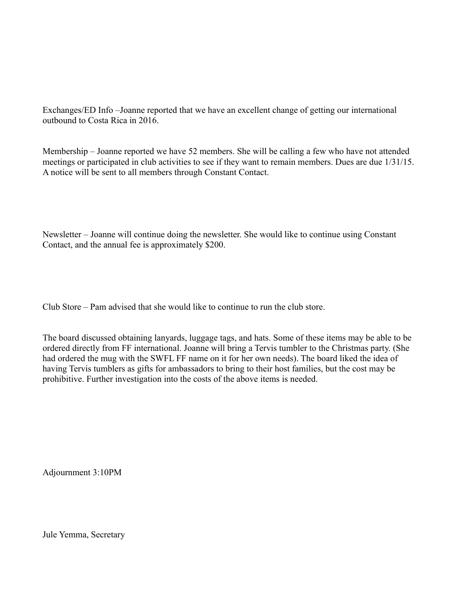Exchanges/ED Info –Joanne reported that we have an excellent change of getting our international outbound to Costa Rica in 2016.

Membership – Joanne reported we have 52 members. She will be calling a few who have not attended meetings or participated in club activities to see if they want to remain members. Dues are due 1/31/15. A notice will be sent to all members through Constant Contact.

Newsletter – Joanne will continue doing the newsletter. She would like to continue using Constant Contact, and the annual fee is approximately \$200.

Club Store – Pam advised that she would like to continue to run the club store.

The board discussed obtaining lanyards, luggage tags, and hats. Some of these items may be able to be ordered directly from FF international. Joanne will bring a Tervis tumbler to the Christmas party. (She had ordered the mug with the SWFL FF name on it for her own needs). The board liked the idea of having Tervis tumblers as gifts for ambassadors to bring to their host families, but the cost may be prohibitive. Further investigation into the costs of the above items is needed.

Adjournment 3:10PM

Jule Yemma, Secretary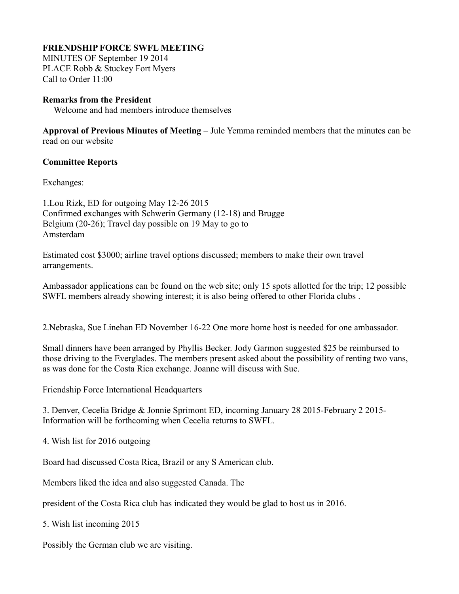MINUTES OF September 19 2014 PLACE Robb & Stuckey Fort Myers Call to Order 11:00

## **Remarks from the President**

Welcome and had members introduce themselves

**Approval of Previous Minutes of Meeting** – Jule Yemma reminded members that the minutes can be read on our website

## **Committee Reports**

Exchanges:

1.Lou Rizk, ED for outgoing May 12-26 2015 Confirmed exchanges with Schwerin Germany (12-18) and Brugge Belgium (20-26); Travel day possible on 19 May to go to Amsterdam

Estimated cost \$3000; airline travel options discussed; members to make their own travel arrangements.

Ambassador applications can be found on the web site; only 15 spots allotted for the trip; 12 possible SWFL members already showing interest; it is also being offered to other Florida clubs .

2.Nebraska, Sue Linehan ED November 16-22 One more home host is needed for one ambassador.

Small dinners have been arranged by Phyllis Becker. Jody Garmon suggested \$25 be reimbursed to those driving to the Everglades. The members present asked about the possibility of renting two vans, as was done for the Costa Rica exchange. Joanne will discuss with Sue.

Friendship Force International Headquarters

3. Denver, Cecelia Bridge & Jonnie Sprimont ED, incoming January 28 2015-February 2 2015- Information will be forthcoming when Cecelia returns to SWFL.

4. Wish list for 2016 outgoing

Board had discussed Costa Rica, Brazil or any S American club.

Members liked the idea and also suggested Canada. The

president of the Costa Rica club has indicated they would be glad to host us in 2016.

5. Wish list incoming 2015

Possibly the German club we are visiting.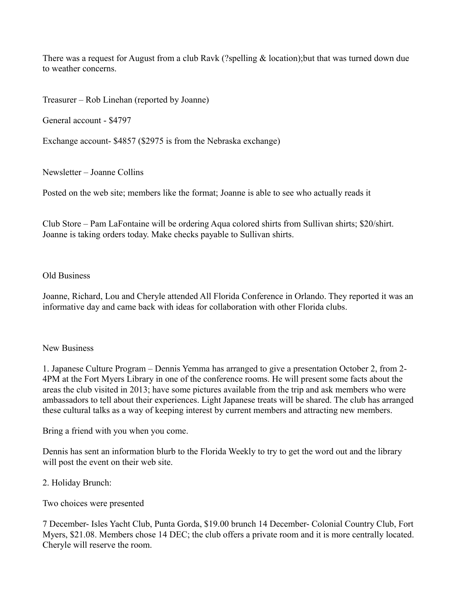There was a request for August from a club Ravk (?spelling  $&$  location);but that was turned down due to weather concerns.

Treasurer – Rob Linehan (reported by Joanne)

General account - \$4797

Exchange account- \$4857 (\$2975 is from the Nebraska exchange)

Newsletter – Joanne Collins

Posted on the web site; members like the format; Joanne is able to see who actually reads it

Club Store – Pam LaFontaine will be ordering Aqua colored shirts from Sullivan shirts; \$20/shirt. Joanne is taking orders today. Make checks payable to Sullivan shirts.

## Old Business

Joanne, Richard, Lou and Cheryle attended All Florida Conference in Orlando. They reported it was an informative day and came back with ideas for collaboration with other Florida clubs.

## New Business

1. Japanese Culture Program – Dennis Yemma has arranged to give a presentation October 2, from 2- 4PM at the Fort Myers Library in one of the conference rooms. He will present some facts about the areas the club visited in 2013; have some pictures available from the trip and ask members who were ambassadors to tell about their experiences. Light Japanese treats will be shared. The club has arranged these cultural talks as a way of keeping interest by current members and attracting new members.

Bring a friend with you when you come.

Dennis has sent an information blurb to the Florida Weekly to try to get the word out and the library will post the event on their web site.

# 2. Holiday Brunch:

Two choices were presented

7 December- Isles Yacht Club, Punta Gorda, \$19.00 brunch 14 December- Colonial Country Club, Fort Myers, \$21.08. Members chose 14 DEC; the club offers a private room and it is more centrally located. Cheryle will reserve the room.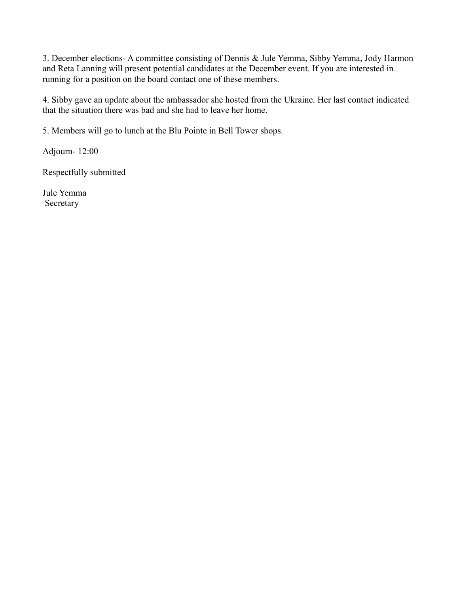3. December elections- A committee consisting of Dennis & Jule Yemma, Sibby Yemma, Jody Harmon and Reta Lanning will present potential candidates at the December event. If you are interested in running for a position on the board contact one of these members.

4. Sibby gave an update about the ambassador she hosted from the Ukraine. Her last contact indicated that the situation there was bad and she had to leave her home.

5. Members will go to lunch at the Blu Pointe in Bell Tower shops.

Adjourn- 12:00

Respectfully submitted

Jule Yemma Secretary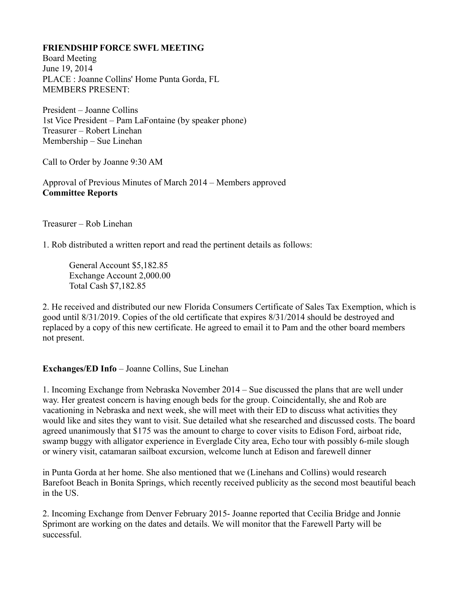Board Meeting June 19, 2014 PLACE : Joanne Collins' Home Punta Gorda, FL MEMBERS PRESENT:

President – Joanne Collins 1st Vice President – Pam LaFontaine (by speaker phone) Treasurer – Robert Linehan Membership – Sue Linehan

Call to Order by Joanne 9:30 AM

Approval of Previous Minutes of March 2014 – Members approved **Committee Reports** 

Treasurer – Rob Linehan

1. Rob distributed a written report and read the pertinent details as follows:

General Account \$5,182.85 Exchange Account 2,000.00 Total Cash \$7,182.85

2. He received and distributed our new Florida Consumers Certificate of Sales Tax Exemption, which is good until 8/31/2019. Copies of the old certificate that expires 8/31/2014 should be destroyed and replaced by a copy of this new certificate. He agreed to email it to Pam and the other board members not present.

# **Exchanges/ED Info** – Joanne Collins, Sue Linehan

1. Incoming Exchange from Nebraska November 2014 – Sue discussed the plans that are well under way. Her greatest concern is having enough beds for the group. Coincidentally, she and Rob are vacationing in Nebraska and next week, she will meet with their ED to discuss what activities they would like and sites they want to visit. Sue detailed what she researched and discussed costs. The board agreed unanimously that \$175 was the amount to charge to cover visits to Edison Ford, airboat ride, swamp buggy with alligator experience in Everglade City area, Echo tour with possibly 6-mile slough or winery visit, catamaran sailboat excursion, welcome lunch at Edison and farewell dinner

in Punta Gorda at her home. She also mentioned that we (Linehans and Collins) would research Barefoot Beach in Bonita Springs, which recently received publicity as the second most beautiful beach in the US.

2. Incoming Exchange from Denver February 2015- Joanne reported that Cecilia Bridge and Jonnie Sprimont are working on the dates and details. We will monitor that the Farewell Party will be successful.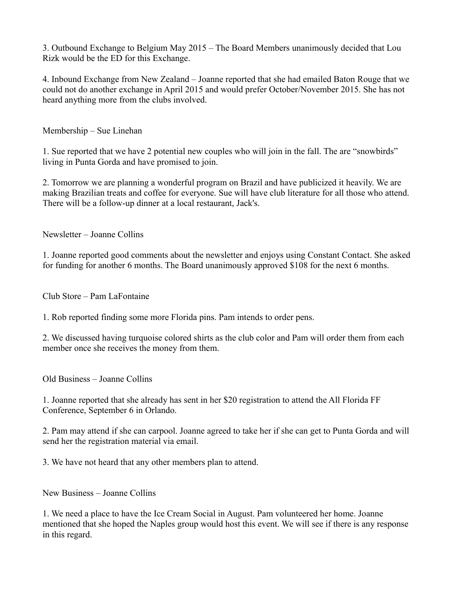3. Outbound Exchange to Belgium May 2015 – The Board Members unanimously decided that Lou Rizk would be the ED for this Exchange.

4. Inbound Exchange from New Zealand – Joanne reported that she had emailed Baton Rouge that we could not do another exchange in April 2015 and would prefer October/November 2015. She has not heard anything more from the clubs involved.

Membership – Sue Linehan

1. Sue reported that we have 2 potential new couples who will join in the fall. The are "snowbirds" living in Punta Gorda and have promised to join.

2. Tomorrow we are planning a wonderful program on Brazil and have publicized it heavily. We are making Brazilian treats and coffee for everyone. Sue will have club literature for all those who attend. There will be a follow-up dinner at a local restaurant, Jack's.

Newsletter – Joanne Collins

1. Joanne reported good comments about the newsletter and enjoys using Constant Contact. She asked for funding for another 6 months. The Board unanimously approved \$108 for the next 6 months.

Club Store – Pam LaFontaine

1. Rob reported finding some more Florida pins. Pam intends to order pens.

2. We discussed having turquoise colored shirts as the club color and Pam will order them from each member once she receives the money from them.

Old Business – Joanne Collins

1. Joanne reported that she already has sent in her \$20 registration to attend the All Florida FF Conference, September 6 in Orlando.

2. Pam may attend if she can carpool. Joanne agreed to take her if she can get to Punta Gorda and will send her the registration material via email.

3. We have not heard that any other members plan to attend.

New Business – Joanne Collins

1. We need a place to have the Ice Cream Social in August. Pam volunteered her home. Joanne mentioned that she hoped the Naples group would host this event. We will see if there is any response in this regard.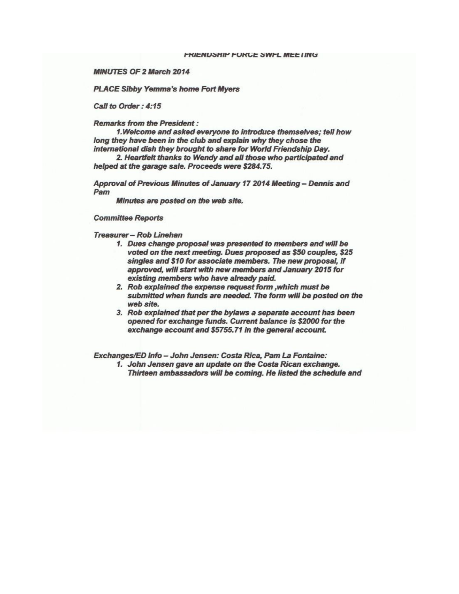**MINUTES OF 2 March 2014** 

**PLACE Sibby Yemma's home Fort Myers** 

Call to Order: 4:15

**Remarks from the President:** 

1. Welcome and asked everyone to introduce themselves: tell how long they have been in the club and explain why they chose the international dish they brought to share for World Friendship Day.

2. Heartfelt thanks to Wendy and all those who participated and helped at the garage sale. Proceeds were \$284.75.

Approval of Previous Minutes of January 17 2014 Meeting - Dennis and Pam

Minutes are posted on the web site.

**Committee Reports** 

Treasurer - Rob Linehan

- 1. Dues change proposal was presented to members and will be voted on the next meeting. Dues proposed as \$50 couples, \$25 singles and \$10 for associate members. The new proposal, if approved, will start with new members and January 2015 for existing members who have already paid.
- 2. Rob explained the expense request form , which must be submitted when funds are needed. The form will be posted on the web site
- 3. Rob explained that per the bylaws a separate account has been opened for exchange funds. Current balance is \$2000 for the exchange account and \$5755.71 in the general account.

Exchanges/ED Info - John Jensen: Costa Rica, Pam La Fontaine:

1. John Jensen gave an update on the Costa Rican exchange. Thirteen ambassadors will be coming. He listed the schedule and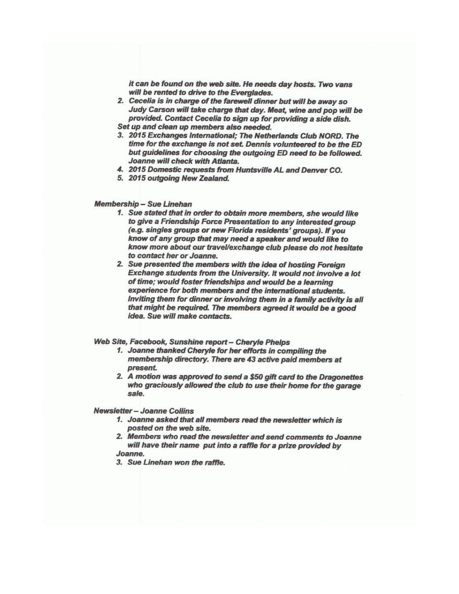it can be found on the web site. He needs day hosts. Two vans will be rented to drive to the Everalades.

- 2. Cecelia is in charge of the farewell dinner but will be away so Judy Carson will take charge that day. Meat, wine and pop will be provided. Contact Cecelia to sign up for providing a side dish. Set up and clean up members also needed.
- 3. 2015 Exchanges International; The Netherlands Club NORD. The time for the exchange is not set. Dennis volunteered to be the ED but guidelines for choosing the outgoing ED need to be followed. Joanne will check with Atlanta.
- 4. 2015 Domestic requests from Huntsville AL and Denver CO.
- 5. 2015 outgoing New Zealand.

#### **Membership - Sue Linehan**

- 1. Sue stated that in order to obtain more members, she would like to give a Friendship Force Presentation to any interested group (e.g. singles groups or new Florida residents' groups). If you know of any group that may need a speaker and would like to know more about our travel/exchange club please do not hesitate to contact her or Joanne.
- 2. Sue presented the members with the idea of hosting Foreign Exchange students from the University. It would not involve a lot of time; would foster friendships and would be a learning experience for both members and the international students. Inviting them for dinner or involving them in a family activity is all that might be required. The members agreed it would be a good idea. Sue will make contacts.

#### Web Site, Facebook, Sunshine report - Cheryle Phelps

- 1. Joanne thanked Cheryle for her efforts in compiling the membership directory. There are 43 active paid members at present.
- 2. A motion was approved to send a \$50 gift card to the Dragonettes who graciously allowed the club to use their home for the garage sale.

**Newsletter - Joanne Collins** 

- 1. Joanne asked that all members read the newsletter which is posted on the web site.
- 2. Members who read the newsletter and send comments to Joanne will have their name put into a raffle for a prize provided by Joanne.
- 3. Sue Linehan won the raffle.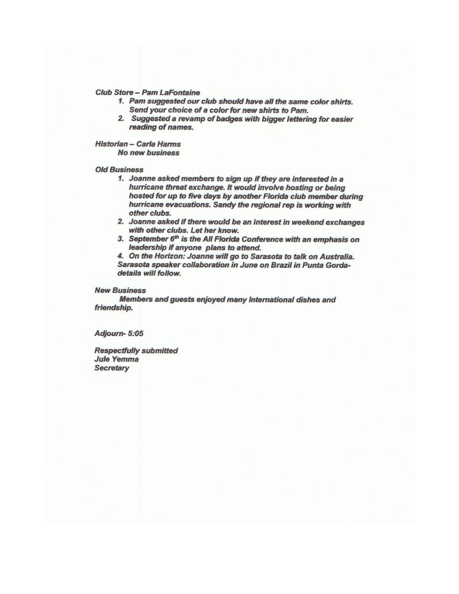#### **Club Store - Pam LaFontaine**

- 1. Pam suggested our club should have all the same color shirts. Send your choice of a color for new shirts to Pam.
- 2. Suggested a revamp of badges with bigger lettering for easier reading of names.

Historian - Carla Harms **No new business** 

#### **Old Business**

- 1. Joanne asked members to sign up if they are interested in a hurricane threat exchange. It would involve hosting or being hosted for up to five days by another Florida club member during hurricane evacuations. Sandy the regional rep is working with other clubs.
- 2. Joanne asked if there would be an interest in weekend exchanges with other clubs. Let her know.
- 3. September 6th is the All Florida Conference with an emphasis on leadership if anyone plans to attend.

4. On the Horizon: Joanne will go to Sarasota to talk on Australia. Sarasota speaker collaboration in June on Brazil in Punta Gordadetails will follow.

#### **New Business**

Members and guests enjoyed many International dishes and friendship.

Adjourn-5:05

**Respectfully submitted Jule Yemma Secretary**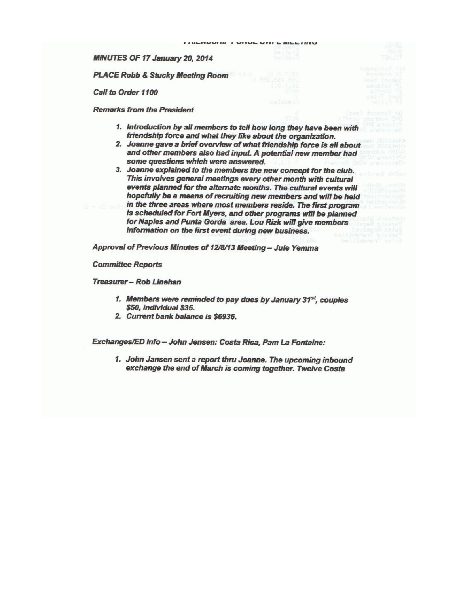MINUTES OF 17 January 20, 2014

**PLACE Robb & Stucky Meeting Room** 

Call to Order 1100

**Remarks from the President** 

1. Introduction by all members to tell how long they have been with friendship force and what they like about the organization.

- 2. Joanne gave a brief overview of what friendship force is all about and other members also had input. A potential new member had some questions which were answered.
- 3. Joanne explained to the members the new concept for the club. This involves general meetings every other month with cultural events planned for the alternate months. The cultural events will hopefully be a means of recruiting new members and will be held
- in the three areas where most members reside. The first program is scheduled for Fort Myers, and other programs will be planned for Naples and Punta Gorda area. Lou Rizk will give members information on the first event during new business.

Approval of Previous Minutes of 12/8/13 Meeting - Jule Yemma

**Committee Reports** 

Treasurer - Rob Linehan

- 1. Members were reminded to pay dues by January 31<sup>st</sup>, couples \$50, individual \$35.
- 2. Current bank balance is \$6936.

Exchanges/ED Info - John Jensen: Costa Rica, Pam La Fontaine:

1. John Jansen sent a report thru Joanne. The upcoming inbound exchange the end of March is coming together. Twelve Costa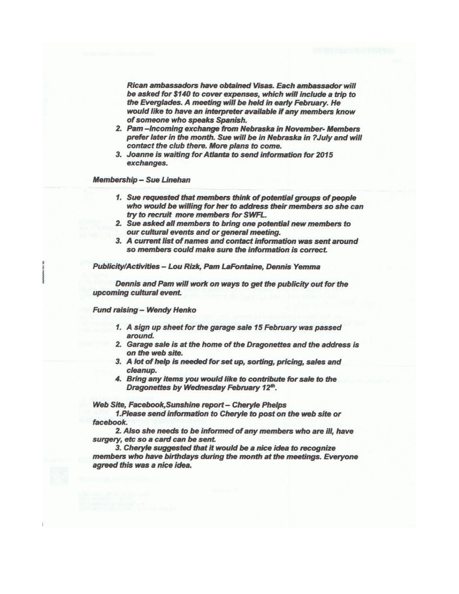Rican ambassadors have obtained Visas. Each ambassador will be asked for \$140 to cover expenses, which will include a trip to the Everglades. A meeting will be held in early February. He would like to have an interpreter available if any members know of someone who speaks Spanish.

- 2. Pam-Incoming exchange from Nebraska in November-Members prefer later in the month. Sue will be in Nebraska in ?July and will contact the club there. More plans to come.
- 3. Joanne is waiting for Atlanta to send information for 2015 exchanges.

**Membership - Sue Linehan** 

- 1. Sue requested that members think of potential groups of people who would be willing for her to address their members so she can try to recruit more members for SWFL.
- 2. Sue asked all members to bring one potential new members to our cultural events and or general meeting.
- 3. A current list of names and contact information was sent around so members could make sure the information is correct.

Publicity/Activities - Lou Rizk, Pam LaFontaine, Dennis Yemma

Dennis and Pam will work on ways to get the publicity out for the upcoming cultural event.

**Fund raising - Wendy Henko** 

- 1. A sign up sheet for the garage sale 15 February was passed around.
- 2. Garage sale is at the home of the Dragonettes and the address is on the web site.
- 3. A lot of help is needed for set up, sorting, pricing, sales and cleanup.
- 4. Bring any items you would like to contribute for sale to the Dragonettes by Wednesday February 12th.

Web Site, Facebook, Sunshine report - Cheryle Phelps

1. Please send information to Cheryle to post on the web site or facebook.

2. Also she needs to be informed of any members who are ill, have surgery, etc so a card can be sent.

3. Cheryle suggested that it would be a nice idea to recognize members who have birthdays during the month at the meetings. Everyone agreed this was a nice idea.